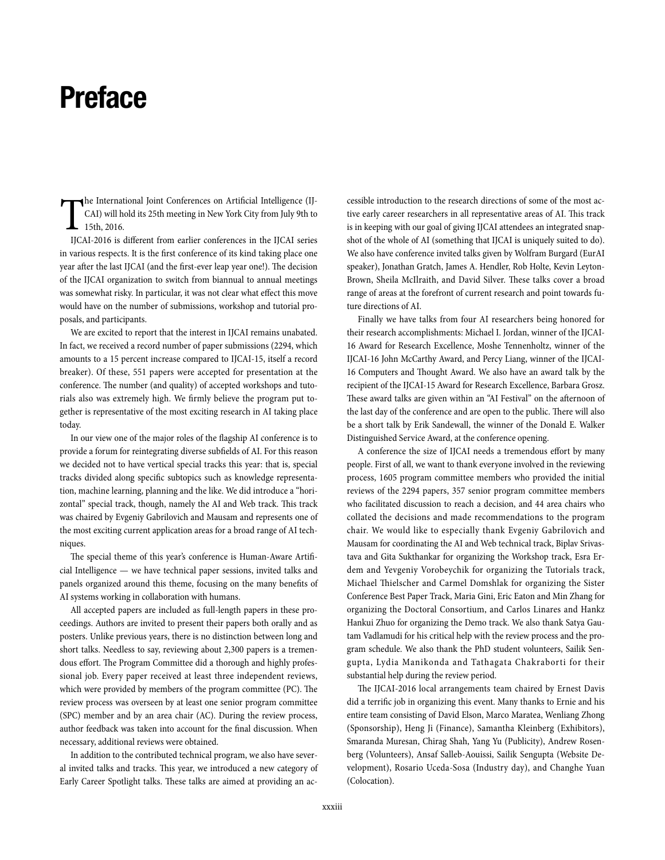## **Preface**

T he International Joint Conferences on Artificial Intelligence (IJ-CAI) will hold its 25th meeting in New York City from July 9th to 15th, 2016.

IJCAI-2016 is different from earlier conferences in the IJCAI series in various respects. It is the first conference of its kind taking place one year after the last IJCAI (and the first-ever leap year one!). The decision of the IJCAI organization to switch from biannual to annual meetings was somewhat risky. In particular, it was not clear what effect this move would have on the number of submissions, workshop and tutorial proposals, and participants.

We are excited to report that the interest in IJCAI remains unabated. In fact, we received a record number of paper submissions (2294, which amounts to a 15 percent increase compared to IJCAI-15, itself a record breaker). Of these, 551 papers were accepted for presentation at the conference. The number (and quality) of accepted workshops and tutorials also was extremely high. We firmly believe the program put together is representative of the most exciting research in AI taking place today.

In our view one of the major roles of the flagship AI conference is to provide a forum for reintegrating diverse subfields of AI. For this reason we decided not to have vertical special tracks this year: that is, special tracks divided along specific subtopics such as knowledge representation, machine learning, planning and the like. We did introduce a "horizontal" special track, though, namely the AI and Web track. This track was chaired by Evgeniy Gabrilovich and Mausam and represents one of the most exciting current application areas for a broad range of AI techniques.

The special theme of this year's conference is Human-Aware Artificial Intelligence — we have technical paper sessions, invited talks and panels organized around this theme, focusing on the many benefits of AI systems working in collaboration with humans.

All accepted papers are included as full-length papers in these proceedings. Authors are invited to present their papers both orally and as posters. Unlike previous years, there is no distinction between long and short talks. Needless to say, reviewing about 2,300 papers is a tremendous effort. The Program Committee did a thorough and highly professional job. Every paper received at least three independent reviews, which were provided by members of the program committee (PC). The review process was overseen by at least one senior program committee (SPC) member and by an area chair (AC). During the review process, author feedback was taken into account for the final discussion. When necessary, additional reviews were obtained.

In addition to the contributed technical program, we also have several invited talks and tracks. This year, we introduced a new category of Early Career Spotlight talks. These talks are aimed at providing an accessible introduction to the research directions of some of the most active early career researchers in all representative areas of AI. This track is in keeping with our goal of giving IJCAI attendees an integrated snapshot of the whole of AI (something that IJCAI is uniquely suited to do). We also have conference invited talks given by Wolfram Burgard (EurAI speaker), Jonathan Gratch, James A. Hendler, Rob Holte, Kevin Leyton-Brown, Sheila McIlraith, and David Silver. These talks cover a broad range of areas at the forefront of current research and point towards future directions of AI.

Finally we have talks from four AI researchers being honored for their research accomplishments: Michael I. Jordan, winner of the IJCAI-16 Award for Research Excellence, Moshe Tennenholtz, winner of the IJCAI-16 John McCarthy Award, and Percy Liang, winner of the IJCAI-16 Computers and Thought Award. We also have an award talk by the recipient of the IJCAI-15 Award for Research Excellence, Barbara Grosz. These award talks are given within an "AI Festival" on the afternoon of the last day of the conference and are open to the public. There will also be a short talk by Erik Sandewall, the winner of the Donald E. Walker Distinguished Service Award, at the conference opening.

A conference the size of IJCAI needs a tremendous effort by many people. First of all, we want to thank everyone involved in the reviewing process, 1605 program committee members who provided the initial reviews of the 2294 papers, 357 senior program committee members who facilitated discussion to reach a decision, and 44 area chairs who collated the decisions and made recommendations to the program chair. We would like to especially thank Evgeniy Gabrilovich and Mausam for coordinating the AI and Web technical track, Biplav Srivastava and Gita Sukthankar for organizing the Workshop track, Esra Erdem and Yevgeniy Vorobeychik for organizing the Tutorials track, Michael Thielscher and Carmel Domshlak for organizing the Sister Conference Best Paper Track, Maria Gini, Eric Eaton and Min Zhang for organizing the Doctoral Consortium, and Carlos Linares and Hankz Hankui Zhuo for organizing the Demo track. We also thank Satya Gautam Vadlamudi for his critical help with the review process and the program schedule. We also thank the PhD student volunteers, Sailik Sengupta, Lydia Manikonda and Tathagata Chakraborti for their substantial help during the review period.

The IJCAI-2016 local arrangements team chaired by Ernest Davis did a terrific job in organizing this event. Many thanks to Ernie and his entire team consisting of David Elson, Marco Maratea, Wenliang Zhong (Sponsorship), Heng Ji (Finance), Samantha Kleinberg (Exhibitors), Smaranda Muresan, Chirag Shah, Yang Yu (Publicity), Andrew Rosenberg (Volunteers), Ansaf Salleb-Aouissi, Sailik Sengupta (Website Development), Rosario Uceda-Sosa (Industry day), and Changhe Yuan (Colocation).